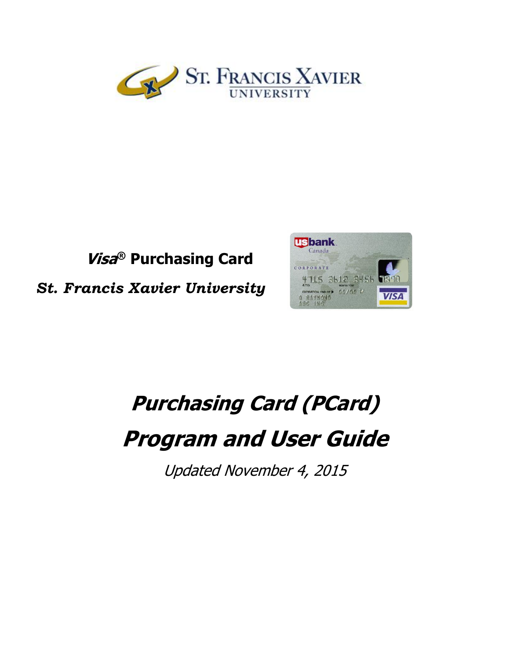

## **Visa ® Purchasing Card**

*St. Francis Xavier University*



# **Purchasing Card (PCard) Program and User Guide**

Updated November 4, 2015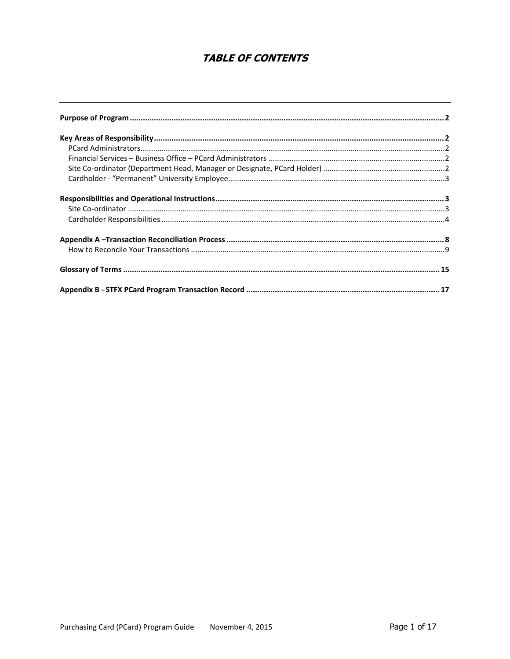## **TABLE OF CONTENTS**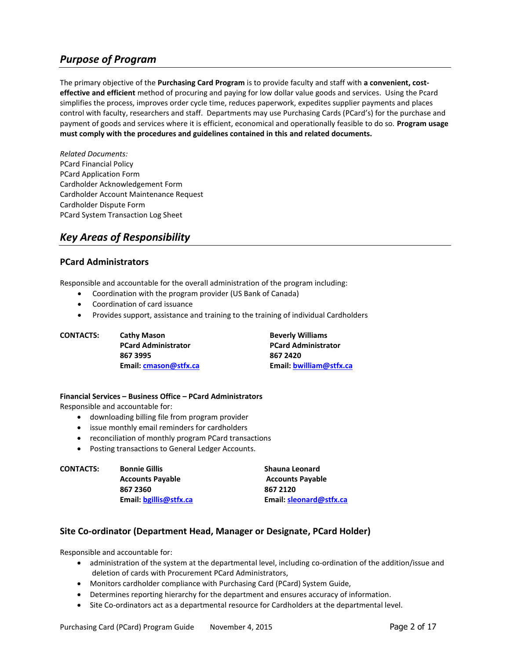## <span id="page-2-0"></span>*Purpose of Program*

The primary objective of the **Purchasing Card Program** is to provide faculty and staff with **a convenient, costeffective and efficient** method of procuring and paying for low dollar value goods and services. Using the Pcard simplifies the process, improves order cycle time, reduces paperwork, expedites supplier payments and places control with faculty, researchers and staff. Departments may use Purchasing Cards (PCard's) for the purchase and payment of goods and services where it is efficient, economical and operationally feasible to do so. **Program usage must comply with the procedures and guidelines contained in this and related documents.**

*Related Documents:* PCard Financial Policy PCard Application Form Cardholder Acknowledgement Form Cardholder Account Maintenance Request Cardholder Dispute Form PCard System Transaction Log Sheet

## <span id="page-2-1"></span>*Key Areas of Responsibility*

#### <span id="page-2-2"></span>**PCard Administrators**

Responsible and accountable for the overall administration of the program including:

- Coordination with the program provider (US Bank of Canada)
- Coordination of card issuance
- Provides support, assistance and training to the training of individual Cardholders

**CONTACTS:** Cathy Mason **Beverly Williams PCard Administrator PCard Administrator 867 3995 867 2420 Email: [cmason@stfx.ca](mailto:cmason@stfx.ca) Email: [bwilliam@stfx.ca](mailto:bwilliam@stfx.ca)**

#### <span id="page-2-3"></span>**Financial Services – Business Office – PCard Administrators**

Responsible and accountable for:

- downloading billing file from program provider
- issue monthly email reminders for cardholders
- reconciliation of monthly program PCard transactions
- Posting transactions to General Ledger Accounts.

| <b>CONTACTS:</b> | <b>Bonnie Gillis</b>    | Shauna Leonard          |
|------------------|-------------------------|-------------------------|
|                  | <b>Accounts Payable</b> | <b>Accounts Payable</b> |
|                  | 867 2360                | 867 2120                |
|                  | Email: bgillis@stfx.ca  | Email: sleonard@stfx.ca |

#### <span id="page-2-4"></span>**Site Co-ordinator (Department Head, Manager or Designate, PCard Holder)**

Responsible and accountable for:

- administration of the system at the departmental level, including co-ordination of the addition/issue and deletion of cards with Procurement PCard Administrators,
- Monitors cardholder compliance with Purchasing Card (PCard) System Guide,
- Determines reporting hierarchy for the department and ensures accuracy of information.
- Site Co-ordinators act as a departmental resource for Cardholders at the departmental level.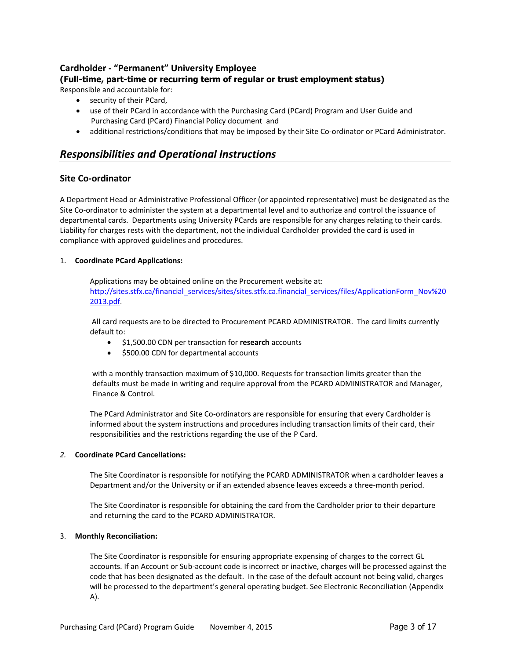### <span id="page-3-0"></span>**Cardholder - "Permanent" University Employee**

**(Full-time, part-time or recurring term of regular or trust employment status)**

Responsible and accountable for:

- security of their PCard,
- use of their PCard in accordance with the Purchasing Card (PCard) Program and User Guide and Purchasing Card (PCard) Financial Policy document and
- additional restrictions/conditions that may be imposed by their Site Co-ordinator or PCard Administrator.

## <span id="page-3-1"></span>*Responsibilities and Operational Instructions*

#### <span id="page-3-2"></span>**Site Co-ordinator**

A Department Head or Administrative Professional Officer (or appointed representative) must be designated as the Site Co-ordinator to administer the system at a departmental level and to authorize and control the issuance of departmental cards. Departments using University PCards are responsible for any charges relating to their cards. Liability for charges rests with the department, not the individual Cardholder provided the card is used in compliance with approved guidelines and procedures.

#### 1. **Coordinate PCard Applications:**

Applications may be obtained online on the Procurement website at: [http://sites.stfx.ca/financial\\_services/sites/sites.stfx.ca.financial\\_services/files/ApplicationForm\\_Nov%20](http://sites.stfx.ca/financial_services/sites/sites.stfx.ca.financial_services/files/ApplicationForm_Nov%202013.pdf) [2013.pdf](http://sites.stfx.ca/financial_services/sites/sites.stfx.ca.financial_services/files/ApplicationForm_Nov%202013.pdf).

All card requests are to be directed to Procurement PCARD ADMINISTRATOR. The card limits currently default to:

- \$1,500.00 CDN per transaction for **research** accounts
- $\bullet$  \$500.00 CDN for departmental accounts

with a monthly transaction maximum of \$10,000. Requests for transaction limits greater than the defaults must be made in writing and require approval from the PCARD ADMINISTRATOR and Manager, Finance & Control.

The PCard Administrator and Site Co-ordinators are responsible for ensuring that every Cardholder is informed about the system instructions and procedures including transaction limits of their card, their responsibilities and the restrictions regarding the use of the P Card.

#### *2.* **Coordinate PCard Cancellations:**

The Site Coordinator is responsible for notifying the PCARD ADMINISTRATOR when a cardholder leaves a Department and/or the University or if an extended absence leaves exceeds a three-month period.

The Site Coordinator is responsible for obtaining the card from the Cardholder prior to their departure and returning the card to the PCARD ADMINISTRATOR.

#### 3. **Monthly Reconciliation:**

The Site Coordinator is responsible for ensuring appropriate expensing of charges to the correct GL accounts. If an Account or Sub-account code is incorrect or inactive, charges will be processed against the code that has been designated as the default. In the case of the default account not being valid, charges will be processed to the department's general operating budget. See Electronic Reconciliation (Appendix A).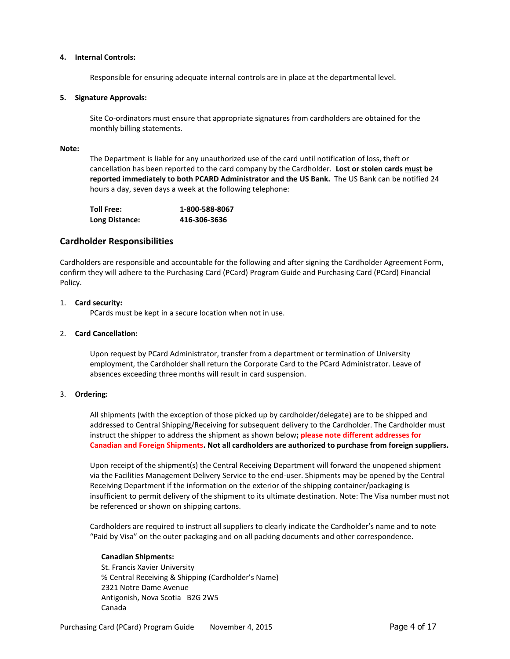#### **4. Internal Controls:**

Responsible for ensuring adequate internal controls are in place at the departmental level.

#### **5. Signature Approvals:**

Site Co-ordinators must ensure that appropriate signatures from cardholders are obtained for the monthly billing statements.

#### **Note:**

The Department is liable for any unauthorized use of the card until notification of loss, theft or cancellation has been reported to the card company by the Cardholder. **Lost or stolen cards must be reported immediately to both PCARD Administrator and the US Bank.** The US Bank can be notified 24 hours a day, seven days a week at the following telephone:

| <b>Toll Free:</b> | 1-800-588-8067 |
|-------------------|----------------|
| Long Distance:    | 416-306-3636   |

#### <span id="page-4-0"></span>**Cardholder Responsibilities**

Cardholders are responsible and accountable for the following and after signing the Cardholder Agreement Form, confirm they will adhere to the Purchasing Card (PCard) Program Guide and Purchasing Card (PCard) Financial Policy.

#### 1. **Card security:**

PCards must be kept in a secure location when not in use.

#### 2. **Card Cancellation:**

Upon request by PCard Administrator, transfer from a department or termination of University employment, the Cardholder shall return the Corporate Card to the PCard Administrator. Leave of absences exceeding three months will result in card suspension.

#### 3. **Ordering:**

All shipments (with the exception of those picked up by cardholder/delegate) are to be shipped and addressed to Central Shipping/Receiving for subsequent delivery to the Cardholder. The Cardholder must instruct the shipper to address the shipment as shown below**; please note different addresses for Canadian and Foreign Shipments. Not all cardholders are authorized to purchase from foreign suppliers.**

Upon receipt of the shipment(s) the Central Receiving Department will forward the unopened shipment via the Facilities Management Delivery Service to the end-user. Shipments may be opened by the Central Receiving Department if the information on the exterior of the shipping container/packaging is insufficient to permit delivery of the shipment to its ultimate destination. Note: The Visa number must not be referenced or shown on shipping cartons.

Cardholders are required to instruct all suppliers to clearly indicate the Cardholder's name and to note "Paid by Visa" on the outer packaging and on all packing documents and other correspondence.

#### **Canadian Shipments:**

 St. Francis Xavier University ℅ Central Receiving & Shipping (Cardholder's Name) 2321 Notre Dame Avenue Antigonish, Nova Scotia B2G 2W5 Canada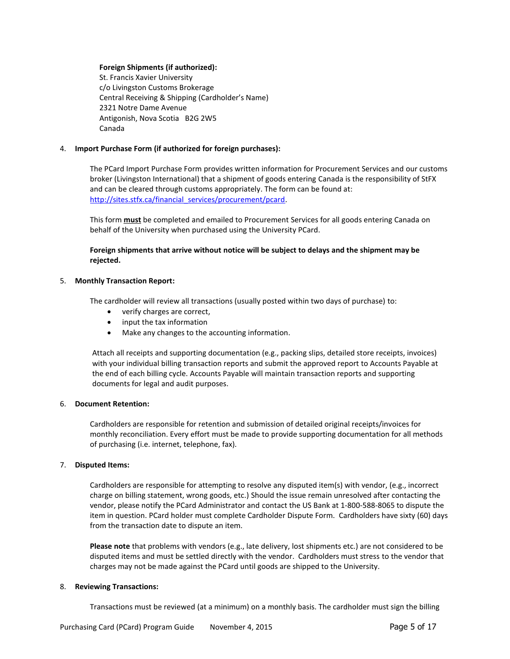#### **Foreign Shipments (if authorized):**

 St. Francis Xavier University c/o Livingston Customs Brokerage Central Receiving & Shipping (Cardholder's Name) 2321 Notre Dame Avenue Antigonish, Nova Scotia B2G 2W5 Canada

#### 4. **Import Purchase Form (if authorized for foreign purchases):**

The PCard Import Purchase Form provides written information for Procurement Services and our customs broker (Livingston International) that a shipment of goods entering Canada is the responsibility of StFX and can be cleared through customs appropriately. The form can be found at: [http://sites.stfx.ca/financial\\_services/procurement/pcard.](http://sites.stfx.ca/financial_services/procurement/pcard)

This form **must** be completed and emailed to Procurement Services for all goods entering Canada on behalf of the University when purchased using the University PCard.

**Foreign shipments that arrive without notice will be subject to delays and the shipment may be rejected.**

#### 5. **Monthly Transaction Report:**

The cardholder will review all transactions (usually posted within two days of purchase) to:

- verify charges are correct,
- input the tax information
- Make any changes to the accounting information.

Attach all receipts and supporting documentation (e.g., packing slips, detailed store receipts, invoices) with your individual billing transaction reports and submit the approved report to Accounts Payable at the end of each billing cycle. Accounts Payable will maintain transaction reports and supporting documents for legal and audit purposes.

#### 6. **Document Retention:**

Cardholders are responsible for retention and submission of detailed original receipts/invoices for monthly reconciliation. Every effort must be made to provide supporting documentation for all methods of purchasing (i.e. internet, telephone, fax).

#### 7. **Disputed Items:**

Cardholders are responsible for attempting to resolve any disputed item(s) with vendor, (e.g., incorrect charge on billing statement, wrong goods, etc.) Should the issue remain unresolved after contacting the vendor, please notify the PCard Administrator and contact the US Bank at 1-800-588-8065 to dispute the item in question. PCard holder must complete Cardholder Dispute Form. Cardholders have sixty (60) days from the transaction date to dispute an item.

**Please note** that problems with vendors (e.g., late delivery, lost shipments etc.) are not considered to be disputed items and must be settled directly with the vendor. Cardholders must stress to the vendor that charges may not be made against the PCard until goods are shipped to the University.

#### 8. **Reviewing Transactions:**

Transactions must be reviewed (at a minimum) on a monthly basis. The cardholder must sign the billing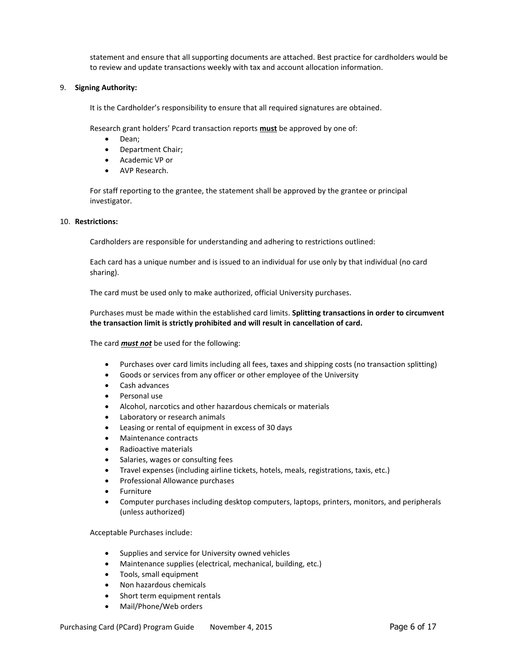statement and ensure that all supporting documents are attached. Best practice for cardholders would be to review and update transactions weekly with tax and account allocation information.

#### 9. **Signing Authority:**

It is the Cardholder's responsibility to ensure that all required signatures are obtained.

Research grant holders' Pcard transaction reports **must** be approved by one of:

- Dean:
- Department Chair;
- Academic VP or
- AVP Research.

For staff reporting to the grantee, the statement shall be approved by the grantee or principal investigator.

#### 10. **Restrictions:**

Cardholders are responsible for understanding and adhering to restrictions outlined:

Each card has a unique number and is issued to an individual for use only by that individual (no card sharing).

The card must be used only to make authorized, official University purchases.

Purchases must be made within the established card limits. **Splitting transactions in order to circumvent the transaction limit is strictly prohibited and will result in cancellation of card.**

The card *must not* be used for the following:

- Purchases over card limits including all fees, taxes and shipping costs (no transaction splitting)
- Goods or services from any officer or other employee of the University
- Cash advances
- Personal use
- Alcohol, narcotics and other hazardous chemicals or materials
- Laboratory or research animals
- Leasing or rental of equipment in excess of 30 days
- Maintenance contracts
- Radioactive materials
- Salaries, wages or consulting fees
- Travel expenses (including airline tickets, hotels, meals, registrations, taxis, etc.)
- Professional Allowance purchases
- Furniture
- Computer purchases including desktop computers, laptops, printers, monitors, and peripherals (unless authorized)

Acceptable Purchases include:

- Supplies and service for University owned vehicles
- Maintenance supplies (electrical, mechanical, building, etc.)
- Tools, small equipment
- Non hazardous chemicals
- Short term equipment rentals
- Mail/Phone/Web orders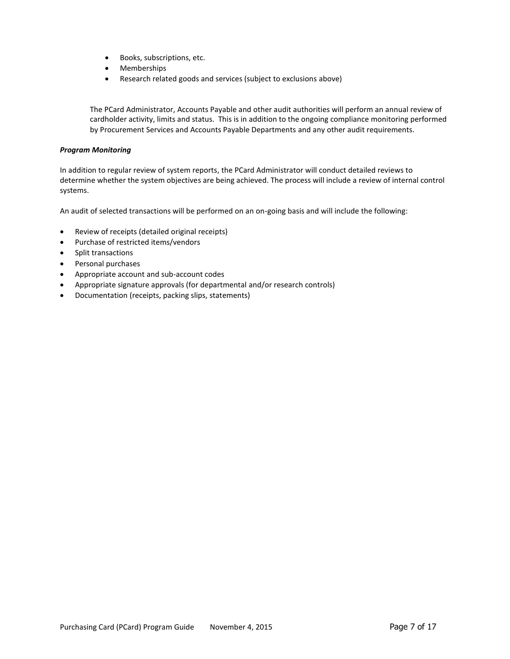- Books, subscriptions, etc.
- Memberships
- Research related goods and services (subject to exclusions above)

The PCard Administrator, Accounts Payable and other audit authorities will perform an annual review of cardholder activity, limits and status. This is in addition to the ongoing compliance monitoring performed by Procurement Services and Accounts Payable Departments and any other audit requirements.

#### *Program Monitoring*

In addition to regular review of system reports, the PCard Administrator will conduct detailed reviews to determine whether the system objectives are being achieved. The process will include a review of internal control systems.

An audit of selected transactions will be performed on an on-going basis and will include the following:

- Review of receipts (detailed original receipts)
- Purchase of restricted items/vendors
- Split transactions
- Personal purchases
- Appropriate account and sub-account codes
- Appropriate signature approvals (for departmental and/or research controls)
- Documentation (receipts, packing slips, statements)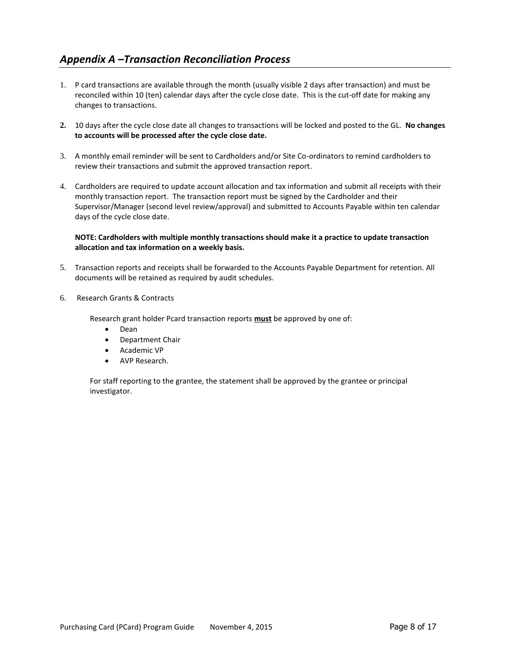## <span id="page-8-0"></span>*Appendix A –Transaction Reconciliation Process*

- 1. P card transactions are available through the month (usually visible 2 days after transaction) and must be reconciled within 10 (ten) calendar days after the cycle close date. This is the cut-off date for making any changes to transactions.
- **2.** 10 days after the cycle close date all changes to transactions will be locked and posted to the GL. **No changes to accounts will be processed after the cycle close date.**
- 3. A monthly email reminder will be sent to Cardholders and/or Site Co-ordinators to remind cardholders to review their transactions and submit the approved transaction report.
- 4. Cardholders are required to update account allocation and tax information and submit all receipts with their monthly transaction report. The transaction report must be signed by the Cardholder and their Supervisor/Manager (second level review/approval) and submitted to Accounts Payable within ten calendar days of the cycle close date.

#### **NOTE: Cardholders with multiple monthly transactions should make it a practice to update transaction allocation and tax information on a weekly basis.**

- 5. Transaction reports and receipts shall be forwarded to the Accounts Payable Department for retention. All documents will be retained as required by audit schedules.
- 6. Research Grants & Contracts

Research grant holder Pcard transaction reports **must** be approved by one of:

- Dean
- Department Chair
- Academic VP
- AVP Research.

For staff reporting to the grantee, the statement shall be approved by the grantee or principal investigator.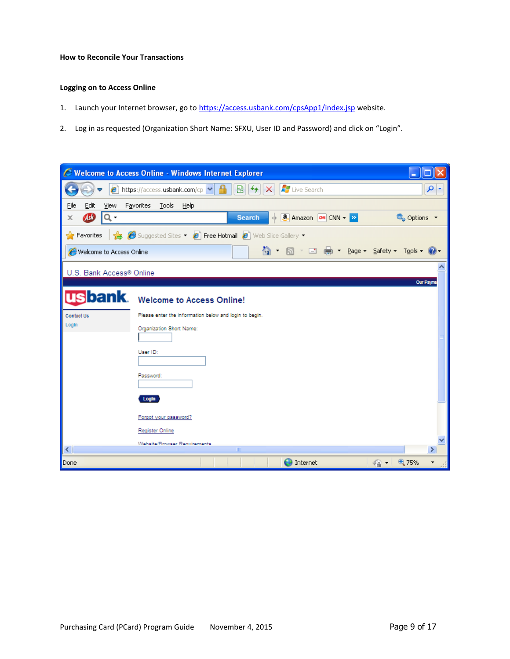#### <span id="page-9-0"></span>**How to Reconcile Your Transactions**

#### **Logging on to Access Online**

- 1. Launch your Internet browser, go to <https://access.usbank.com/cpsApp1/index.jsp> website.
- 2. Log in as requested (Organization Short Name: SFXU, User ID and Password) and click on "Login".

| e                                 | <b>Welcome to Access Online - Windows Internet Explorer</b>                                                             |             |
|-----------------------------------|-------------------------------------------------------------------------------------------------------------------------|-------------|
|                                   | <b>A</b> Live Search<br>$\boldsymbol{e}$ https://access.usbank.com/cp $\blacktriangledown$<br>▩<br>$^{\ast_{\pm}}$<br>× | ۹<br>×      |
| Eile<br>Edit<br>Favorites<br>View | Tools<br>Help                                                                                                           |             |
| Q -<br>ÆØ<br>x                    | + <b>a</b> Amazon <b>o</b> CNN <del>+</del> >><br><b>Search</b>                                                         | ● Options ▼ |
| <b>Favorites</b>                  | Suggested Sites • <b>@</b> Free Hotmail @ Web Slice Gallery •                                                           |             |
| Welcome to Access Online          | ✿ · ጪ · ⊡ ● · Page · Safety · T <u>o</u> ols · ❷ ·                                                                      |             |
| U.S. Bank Access® Online          |                                                                                                                         | Our Payme   |
|                                   | <b>US bank</b> . Welcome to Access Online!                                                                              |             |
| Contact Us                        | Please enter the information below and login to begin.                                                                  |             |
| LogIn                             | Organization Short Name:                                                                                                |             |
|                                   | User ID:                                                                                                                |             |
|                                   |                                                                                                                         |             |
|                                   | Password:                                                                                                               |             |
|                                   | Login                                                                                                                   |             |
|                                   | Forgot your password?                                                                                                   |             |
|                                   | <b>Register Online</b>                                                                                                  |             |
| $\left\langle \right\rangle$      | <b>Wahcita/Rimwear Ranuiramante</b><br>$\rm{III}$                                                                       | ≯           |
| Done                              | $\bigoplus$ Internet<br>$\sqrt{a}$                                                                                      | ⊕ 75%       |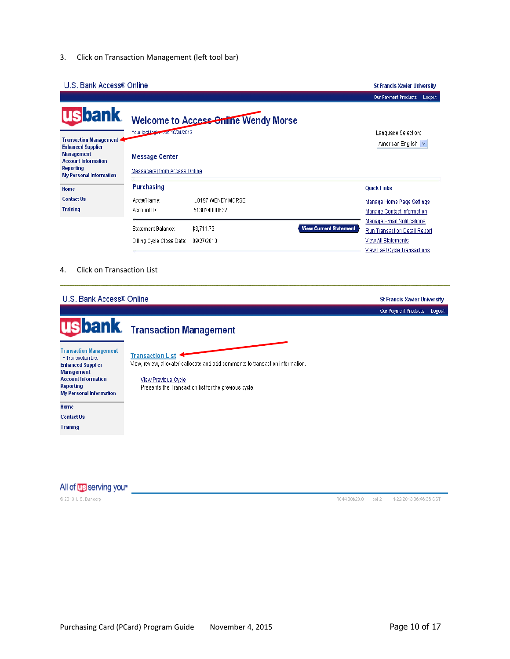3. Click on Transaction Management (left tool bar)

#### U.S. Bank Access® Online

|                                                                       |                                                 |                                      |                               | Our Payment Products<br>Logout                                                                   |
|-----------------------------------------------------------------------|-------------------------------------------------|--------------------------------------|-------------------------------|--------------------------------------------------------------------------------------------------|
| <b>usbank</b><br>Transaction Management 4<br><b>Enhanced Supplier</b> | Your last legin was 10/24/2013                  | Welcome to Access Online Wendy Morse |                               | Language Selection:<br>American English                                                          |
| <b>Management</b><br><b>Account Information</b>                       | <b>Message Center</b>                           |                                      |                               |                                                                                                  |
| Reporting<br><b>My Personal Information</b>                           | Message(s) from Access Online                   |                                      |                               |                                                                                                  |
| Home                                                                  | <b>Purchasing</b>                               |                                      |                               | <b>Quick Links</b>                                                                               |
| <b>Contact Us</b>                                                     | Acct#/Name:                                     | 0197 WENDY MORSE                     |                               | Manage Home Page Settings                                                                        |
| <b>Training</b>                                                       | Account ID:                                     | 513024000632                         |                               | Manage Contact Information                                                                       |
|                                                                       | Statement Balance:<br>Billing Cycle Close Date: | \$3,711.73<br>09/27/2013             | <b>View Current Statement</b> | <b>Manage Email Notifications</b><br><b>Run Transaction Detail Report</b><br>View All Statements |
|                                                                       |                                                 |                                      |                               | View Last Cycle Transactions                                                                     |

#### 4. Click on Transaction List

#### U.S. Bank Access® Online **St Francis Xavier University** Our Payment Products Logout **Transaction Management bank** U **Transaction Management Transaction List** . Transaction List **Enhanced Supplier** View, review, allocate/reallocate and add comments to transaction information. **Management Account Information** View Previous Cycle **Reporting** Presents the Transaction list for the previous cycle. My Personal Information Home **Contact Us Training**

All of **US** serving you<sup>\*</sup>

@ 2013 U.S. Bancorp

R044.00b20.0 col 2 11-22-2013 06:46:36 CST

**St Francis Xavier University**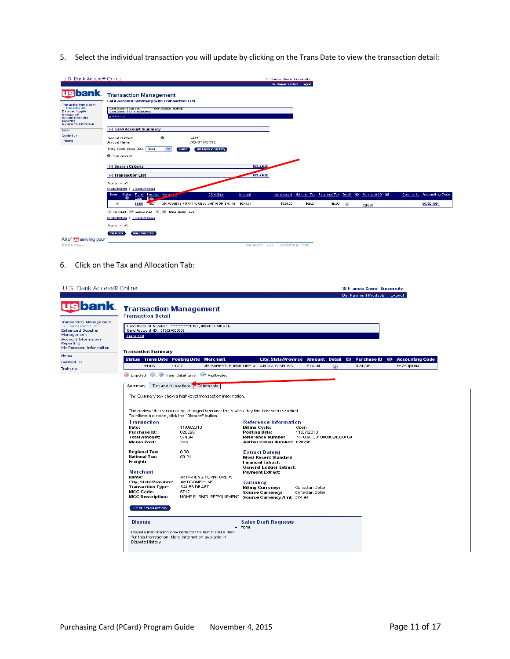5. Select the individual transaction you will update by clicking on the Trans Date to view the transaction detail:

| U.S. Bank Access® Online                                                                                                                                                      |                                                                                                                                                                                                | St Francis Xavier University<br>Our Payment Products<br>Logost                             |
|-------------------------------------------------------------------------------------------------------------------------------------------------------------------------------|------------------------------------------------------------------------------------------------------------------------------------------------------------------------------------------------|--------------------------------------------------------------------------------------------|
| <b>usbank</b><br>Transaction Management<br>- Transaction List<br><b>Enhanced Supplier</b><br><b>Management</b><br>Account Information<br>Reporting<br>My Personal Information | <b>Transaction Management</b><br><b>Card Account Summary with Transaction List</b><br>Card Account Number: ****************************** MORSE<br>Card Account ID: 513024000532<br>» Translat |                                                                                            |
| Home<br>Contact Us<br>Training                                                                                                                                                | (-) Card Account Summary<br>$\bullet$<br>0197<br>Account Number:<br>WENDY MORSE<br>Account Name:                                                                                               |                                                                                            |
|                                                                                                                                                                               | Billing Cycle Close Date: Open<br>$\overline{\mathbf{v}}$<br><b>Print Account Activity</b><br>Search 1<br>O Open Account                                                                       |                                                                                            |
|                                                                                                                                                                               | [+] Search Criteria<br>(-) Transaction List                                                                                                                                                    | Return to trp<br>Return to top                                                             |
|                                                                                                                                                                               | Records 1-1 of 1<br>Cleck All Shows   Uscleck All Shows                                                                                                                                        | National Tax Regional Tax Detail D Purchase ID @<br>Comments Accounting Code<br>Net Amount |
|                                                                                                                                                                               | Select Status Trans Posting Merchan<br>City/State<br><b>Amount</b><br>ື<br>Date<br><b>Date</b><br>11/06 11:07<br>JR RAHEYS FURNITURE A ANTIGONISH, NS \$574.94<br>$\mathcal{L}$                | \$524.70<br>\$50.24<br>6575016004<br>\$0.00<br>⋒<br>020296                                 |
|                                                                                                                                                                               | <sup>1</sup> Disputed <sup>2</sup> Reallocated <sup>1</sup> <sup>1</sup> Trans Detail Level<br>Cleck All Slows   Uscleck All Slows                                                             |                                                                                            |
| All of <b>US</b> serving you <sup>*</sup>                                                                                                                                     | Records 1 - 1 of 1<br>Mass Reallocate<br>Reallocate                                                                                                                                            |                                                                                            |
| <b>02013 U.S. Barcorp</b>                                                                                                                                                     |                                                                                                                                                                                                |                                                                                            |

6. Click on the Tax and Allocation Tab:

|                                                                                               | U.S. Bank Access® Online                                                           |                                                              |                                                    |                         |             | <b>St Francis Xavier University</b> |                                                                    |  |
|-----------------------------------------------------------------------------------------------|------------------------------------------------------------------------------------|--------------------------------------------------------------|----------------------------------------------------|-------------------------|-------------|-------------------------------------|--------------------------------------------------------------------|--|
|                                                                                               |                                                                                    |                                                              |                                                    |                         |             | Our Payment Products Logout         |                                                                    |  |
| usbank.                                                                                       | <b>Transaction Management</b><br><b>Transaction Detail</b>                         |                                                              |                                                    |                         |             |                                     |                                                                    |  |
| <b>Transaction Management</b><br>- Transaction List<br><b>Enhanced Supplier</b><br>Management | Card Account ID: 513024000632                                                      | Card Account Number: *************0197, WENDY MORSE          |                                                    |                         |             |                                     |                                                                    |  |
| Account Information<br>Reporting<br>My Personal Information                                   | <b>Trans List</b>                                                                  |                                                              |                                                    |                         |             |                                     |                                                                    |  |
|                                                                                               | <b>Transaction Summary</b>                                                         |                                                              |                                                    |                         |             |                                     |                                                                    |  |
| Contact Us                                                                                    | Status Trans Date Posting Date Merchant                                            |                                                              |                                                    |                         |             |                                     | City, State/Province Amount Detail & Purchase ID & Accounting Code |  |
|                                                                                               | 11/06                                                                              | 11/07                                                        | JR RAHEYS FURNITURE A ANTIGONISH, NS               | 574.94                  | <b>(ii)</b> | 020296                              | 65750 6004                                                         |  |
|                                                                                               | D Disputed (1), (1) Trans Detail Level (A) Reallocated                             |                                                              |                                                    |                         |             |                                     |                                                                    |  |
|                                                                                               | Summary<br>Tax and Allocations                                                     | Comments                                                     |                                                    |                         |             |                                     |                                                                    |  |
|                                                                                               |                                                                                    |                                                              |                                                    |                         |             |                                     |                                                                    |  |
|                                                                                               |                                                                                    | The Summary tab shows high-level transaction information.    |                                                    |                         |             |                                     |                                                                    |  |
|                                                                                               |                                                                                    |                                                              |                                                    |                         |             |                                     |                                                                    |  |
|                                                                                               | The review status cannot be changed because the review day limit has been reached. |                                                              |                                                    |                         |             |                                     |                                                                    |  |
|                                                                                               | To initiate a dispute, click the "Dispute" button.                                 |                                                              |                                                    |                         |             |                                     |                                                                    |  |
|                                                                                               | <b>Transaction</b><br>Date:                                                        | 11/06/2013                                                   | <b>Reference Information</b>                       | Open                    |             |                                     |                                                                    |  |
|                                                                                               | Purchase ID:                                                                       | 020296                                                       | <b>Billing Cycle:</b><br>Posting Date:             | 11/07/2013              |             |                                     |                                                                    |  |
|                                                                                               | <b>Total Amount:</b>                                                               | 574.94                                                       | Reference Number:                                  | 74703413310000024808169 |             |                                     |                                                                    |  |
|                                                                                               | Memo Post:                                                                         | Yes                                                          | Authorization Number: 020296                       |                         |             |                                     |                                                                    |  |
|                                                                                               | <b>Regional Tax:</b>                                                               | 0.00                                                         | <b>Extract Date(s)</b>                             |                         |             |                                     |                                                                    |  |
|                                                                                               | <b>National Tax:</b>                                                               | 50.24                                                        | <b>Most Recent Standard</b>                        |                         |             |                                     |                                                                    |  |
|                                                                                               | Freight:                                                                           |                                                              | <b>Financial Extract:</b>                          |                         |             |                                     |                                                                    |  |
|                                                                                               | <b>Merchant</b>                                                                    |                                                              | General Ledger Extract:<br><b>Payment Extract:</b> |                         |             |                                     |                                                                    |  |
|                                                                                               | Name:                                                                              | JR RAHEYS FURNITURE A                                        |                                                    |                         |             |                                     |                                                                    |  |
|                                                                                               | City, State/Province:                                                              | ANTIGONISH, NS                                               | Currency                                           |                         |             |                                     |                                                                    |  |
|                                                                                               | <b>Transaction Type:</b>                                                           | SALES DRAFT                                                  | <b>Billing Currency:</b>                           | Canadian Dollar         |             |                                     |                                                                    |  |
|                                                                                               | <b>MCC Code:</b><br><b>MCC Description:</b>                                        | 5712<br>HOME FURNITURE/EQUIPMENT Source Currency Amt: 574.94 | <b>Source Currency:</b>                            | Canadian Dollar         |             |                                     |                                                                    |  |
|                                                                                               |                                                                                    |                                                              |                                                    |                         |             |                                     |                                                                    |  |
|                                                                                               | Print Transaction                                                                  |                                                              |                                                    |                         |             |                                     |                                                                    |  |
|                                                                                               | <b>Dispute</b>                                                                     |                                                              | <b>Sales Draft Requests</b>                        |                         |             |                                     |                                                                    |  |
|                                                                                               |                                                                                    |                                                              | $•$ none                                           |                         |             |                                     |                                                                    |  |
|                                                                                               |                                                                                    | Dispute information only reflects the last dispute filed     |                                                    |                         |             |                                     |                                                                    |  |
|                                                                                               | for this transaction. More information available in<br>Dispute History.            |                                                              |                                                    |                         |             |                                     |                                                                    |  |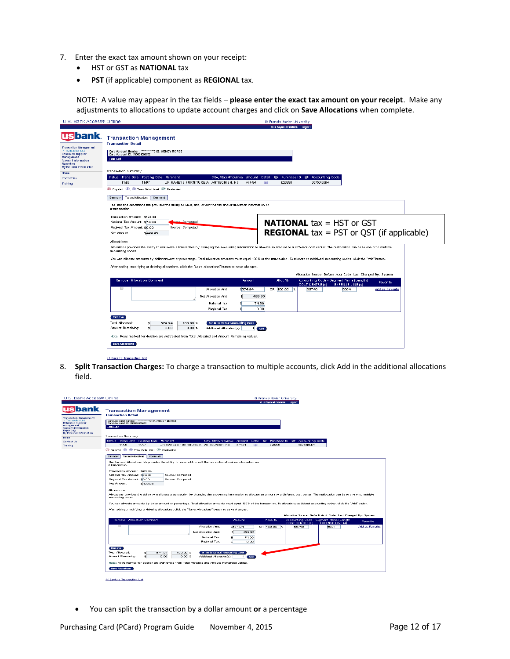- 7. Enter the exact tax amount shown on your receipt:
	- HST or GST as **NATIONAL** tax
	- **PST** (if applicable) component as **REGIONAL** tax.

NOTE: A value may appear in the tax fields – **please enter the exact tax amount on your receipt**. Make any adjustments to allocations to update account charges and click on **Save Allocations** when complete.

| U.S. Bank Access® Online                                                                                                                                                                    | St Francis Xavier University                                                                                                                                                                                                                                          |
|---------------------------------------------------------------------------------------------------------------------------------------------------------------------------------------------|-----------------------------------------------------------------------------------------------------------------------------------------------------------------------------------------------------------------------------------------------------------------------|
|                                                                                                                                                                                             | Our Payment Products Logost                                                                                                                                                                                                                                           |
| <b>Tsbank</b><br>Transaction Management<br>- Transaction List<br><b>Enhanced Supplier</b><br><b>Management</b><br><b>Account Information</b><br>Reporting<br><b>My Personal Information</b> | <b>Transaction Management</b><br><b>Transaction Detail</b><br>Card Account Number: """"0197, WENDY MORSE<br>Card Account ID: 513024000632<br><b>Trais List</b>                                                                                                        |
| Home<br>Contact Us                                                                                                                                                                          | Transaction Summary<br>Status Trans Date Posting Date Merchant<br>City, State/Province Amount Detail & Purchase ID & Accounting Code<br>JR RAHEYS FURNITURE A ANTIGONISH. NS<br>11/06<br>11/07<br>574.94<br>020296<br>6575016004                                      |
| Training                                                                                                                                                                                    | $^{\circ}$<br>1 Disputed 1 . Trans Detail Level <sup>6</sup> Reallocated                                                                                                                                                                                              |
|                                                                                                                                                                                             | Tax and Allocations Comments<br>Summary                                                                                                                                                                                                                               |
|                                                                                                                                                                                             | The Tax and Allocations tab provides the ability to view, add, or edit the tax and/or allocation information on<br>a transaction.                                                                                                                                     |
|                                                                                                                                                                                             | Transaction Amount: \$574.94<br><b>NATIONAL</b> tax $=$ HST or GST<br>National Tax Amount: \$74.99<br>upper Computed<br>Regional Tax Amount: \$0.00<br>Source: Computed<br><b>REGIONAL</b> tax = PST or QST (if applicable)<br>Net Amount:<br>\$499.95<br>Allocations |
|                                                                                                                                                                                             | Allocations provides the ability to reallocate a transaction by changing the accounting information to allocate an amount to a different cost center. The reallocation can be to one or to multiple<br>accounting codes.                                              |
|                                                                                                                                                                                             | You can allocate amounts by dollar amount or percentage. Total allocation amounts must equal 100% of the transaction. To allocate to additional accounting codes, click the "Add" button.                                                                             |
|                                                                                                                                                                                             | After adding, modifying or deleting allocations, click the "Save Allocations" button to save changes.                                                                                                                                                                 |
|                                                                                                                                                                                             | Allocation Source: Default Acct Code Last Changed By: System                                                                                                                                                                                                          |
|                                                                                                                                                                                             | Remove Allocation Comment<br>Accounting Code - Segment Name (Length)<br>Alloc %<br><b>Amount</b><br><b>Favorite</b><br>COST CENTRE (5)<br><b>EXPENSE LINE (4)</b>                                                                                                     |
|                                                                                                                                                                                             | ⊕<br>Allocation Amt:<br>\$574.94<br>OR 100.00 %<br>65740<br>6004<br>Add as Favorite<br>499.95<br>Net Allocation Amt:<br>National Tax:<br>74.99<br>Regional Tax:<br>0.00                                                                                               |
|                                                                                                                                                                                             | Remove<br>Total Allocated:<br>100.00 %<br>Set All to Default Accounting Code<br>574.94<br>Amount Remaining:<br>0.00<br>$0.00 \, %$<br>Additional Allocation(s):<br>11<br>Add                                                                                          |
|                                                                                                                                                                                             | Note: Rows marked for deletion are subtracted from Total Allocated and Amount Remaining values.<br><b>Save Allocations</b>                                                                                                                                            |

#### << Back to Transaction List

8. **Split Transaction Charges:** To charge a transaction to multiple accounts, click Add in the additional allocations field.

| U.S. Bank Access® Online                                                                                                                                         | St Francis Xavier University                                                                                                                                                                                                                   |
|------------------------------------------------------------------------------------------------------------------------------------------------------------------|------------------------------------------------------------------------------------------------------------------------------------------------------------------------------------------------------------------------------------------------|
|                                                                                                                                                                  | Our Payment Products Logost                                                                                                                                                                                                                    |
| <b>usbank</b><br><b>Transaction Management</b><br>- Transaction List<br><b>Enhanced Supplier</b><br><b>Management</b><br><b>Account Information</b><br>Reporting | <b>Transaction Management</b><br><b>Transaction Detail</b><br>Card Account Number: ************************** D197, WENDY MORSE<br>Card Account ID: 513024000632<br><b>Trais List</b>                                                          |
| My Personal Information                                                                                                                                          | Transaction Summary                                                                                                                                                                                                                            |
| Home<br>Contact Us                                                                                                                                               | Status Trans Date Posting Date Merchant<br><b>Detail</b><br>E> Purchase ID @ Accounting Code<br>City, State/Province Amount                                                                                                                    |
| Training                                                                                                                                                         | 11/06<br>11/07<br>JR RAHEYS FURNITURE A ANTIGONISH. NS<br>574.94<br>020296<br>6575016004<br>$\circ$                                                                                                                                            |
|                                                                                                                                                                  | 1 Disputed 10, 10 Trans Detail Level 4 Prealipoated                                                                                                                                                                                            |
|                                                                                                                                                                  | Tax and Allocations<br><b>Comment</b><br>$S$ ummary                                                                                                                                                                                            |
|                                                                                                                                                                  |                                                                                                                                                                                                                                                |
|                                                                                                                                                                  | The Tax and Allocations tab provides the ability to view, add, or edit the tax and/or allocation information on<br>a transaction.                                                                                                              |
|                                                                                                                                                                  |                                                                                                                                                                                                                                                |
|                                                                                                                                                                  | Transaction Amount: \$574.94<br>National Tax Amount: \$74.99<br>Source: Computed                                                                                                                                                               |
|                                                                                                                                                                  | Regional Tax Amount: \$0.00<br>Source: Computed                                                                                                                                                                                                |
|                                                                                                                                                                  | Net Amount:<br>\$499.95                                                                                                                                                                                                                        |
|                                                                                                                                                                  |                                                                                                                                                                                                                                                |
|                                                                                                                                                                  | <b>Allocations</b><br>Allocations provides the ability to reallocate a transaction by changing the accounting information to allocate an amount to a different cost center. The reallocation can be to one or to multiple<br>accounting codes. |
|                                                                                                                                                                  |                                                                                                                                                                                                                                                |
|                                                                                                                                                                  | You can allocate amounts by dollar amount or percentage. Total allocation amounts must equal 100% of the transaction. To allocate to additional accounting codes, click the "Add" button,                                                      |
|                                                                                                                                                                  | After adding, modifying or deleting allocations, click the "Save Allocations" button to save changes.                                                                                                                                          |
|                                                                                                                                                                  | Allocation Source: Default Acot Code Last Changed By: System                                                                                                                                                                                   |
|                                                                                                                                                                  | <b>Recounting Code - Segment Name (Length)</b><br>Remove Allocation Comment<br>Alloo %<br>Amount<br><b>Favorite</b>                                                                                                                            |
|                                                                                                                                                                  | <b>COST CENTRE (\$)</b><br><b>EXPENSE LINE (4)</b><br>⊟<br>Allocation Amt:                                                                                                                                                                     |
|                                                                                                                                                                  | \$574.94<br>65740<br>6004<br><b>Add as Favorite</b><br>OR 100.00 %                                                                                                                                                                             |
|                                                                                                                                                                  | 499.95<br>Net Allocation Amt:                                                                                                                                                                                                                  |
|                                                                                                                                                                  | National Tax:<br>74.99                                                                                                                                                                                                                         |
|                                                                                                                                                                  | Regional Tax:<br>0.00                                                                                                                                                                                                                          |
|                                                                                                                                                                  | Remove<br>Total Allocated:<br>574.94<br>100.00 %<br><b>Set All to Default Accounting Code</b><br><b>Amount Remaining:</b><br>0.00<br>$0.00 \, %$<br>Additional Allocation(s):<br>$1$ $Ad$                                                      |
|                                                                                                                                                                  | Note: Rows marked for deletion are subtracted from Total Allocated and Amount Remaining values.<br><b>Save Allocations</b>                                                                                                                     |
|                                                                                                                                                                  |                                                                                                                                                                                                                                                |
|                                                                                                                                                                  | << Back to Transaction List                                                                                                                                                                                                                    |
|                                                                                                                                                                  |                                                                                                                                                                                                                                                |

You can split the transaction by a dollar amount **or** a percentage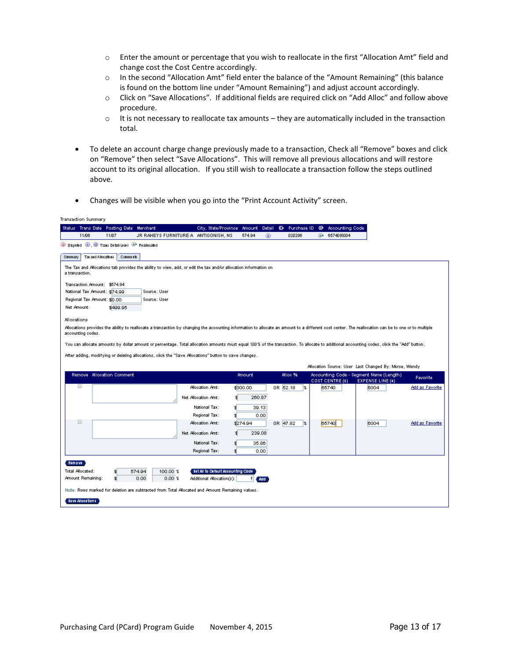- o Enter the amount or percentage that you wish to reallocate in the first "Allocation Amt" field and change cost the Cost Centre accordingly.
- o In the second "Allocation Amt" field enter the balance of the "Amount Remaining" (this balance is found on the bottom line under "Amount Remaining") and adjust account accordingly.
- o Click on "Save Allocations". If additional fields are required click on "Add Alloc" and follow above procedure.
- $\circ$  It is not necessary to reallocate tax amounts they are automatically included in the transaction total.
- To delete an account charge change previously made to a transaction, Check all "Remove" boxes and click on "Remove" then select "Save Allocations". This will remove all previous allocations and will restore account to its original allocation. If you still wish to reallocate a transaction follow the steps outlined above.
- Changes will be visible when you go into the "Print Account Activity" screen.

|         | Transaction Summary                   |                                                                |                                                                                                                                                                                                     |                                                                 |               |             |             |                             |                                                       |                        |
|---------|---------------------------------------|----------------------------------------------------------------|-----------------------------------------------------------------------------------------------------------------------------------------------------------------------------------------------------|-----------------------------------------------------------------|---------------|-------------|-------------|-----------------------------|-------------------------------------------------------|------------------------|
|         |                                       | Status Trans Date Posting Date Merchant                        |                                                                                                                                                                                                     | City, State/Province Amount                                     |               | Detail<br>€ | Purchase ID | <b>Accounting Code</b><br>⊛ |                                                       |                        |
|         | 11/06                                 | 11/07                                                          | JR RAHEYS FURNITURE A ANTIGONISH, NS                                                                                                                                                                |                                                                 | 574.94        | $^{\circ}$  | 020296      | A+ 6574016004               |                                                       |                        |
|         |                                       | 1 Dispred 10, 10 Trans Detail Level <sup>(A+</sup> Reallocated |                                                                                                                                                                                                     |                                                                 |               |             |             |                             |                                                       |                        |
| Summary |                                       | Tax and Allocations<br>Comment                                 |                                                                                                                                                                                                     |                                                                 |               |             |             |                             |                                                       |                        |
|         |                                       |                                                                |                                                                                                                                                                                                     |                                                                 |               |             |             |                             |                                                       |                        |
|         | a transaction.                        |                                                                | The Tax and Allocations tab provides the ability to view, add, or edit the tax and/or allocation information on                                                                                     |                                                                 |               |             |             |                             |                                                       |                        |
|         |                                       | Transaction Amount: \$574.94                                   |                                                                                                                                                                                                     |                                                                 |               |             |             |                             |                                                       |                        |
|         |                                       | National Tax Amount: \$74.99                                   | Source: User                                                                                                                                                                                        |                                                                 |               |             |             |                             |                                                       |                        |
|         |                                       | Regional Tax Amount: \$0.00                                    | Source: User                                                                                                                                                                                        |                                                                 |               |             |             |                             |                                                       |                        |
|         | Net Amount:                           | \$499.95                                                       |                                                                                                                                                                                                     |                                                                 |               |             |             |                             |                                                       |                        |
|         | Allocations                           |                                                                |                                                                                                                                                                                                     |                                                                 |               |             |             |                             |                                                       |                        |
|         | accounting codes.                     |                                                                | Allocations provides the ability to reallocate a transaction by changing the accounting information to allocate an amount to a different cost center. The reallocation can be to one or to multiple |                                                                 |               |             |             |                             |                                                       |                        |
|         |                                       |                                                                |                                                                                                                                                                                                     |                                                                 |               |             |             |                             |                                                       |                        |
|         |                                       |                                                                | You can allocate amounts by dollar amount or percentage. Total allocation amounts must equal 100% of the transaction. To allocate to additional accounting codes, click the "Add" button.           |                                                                 |               |             |             |                             |                                                       |                        |
|         |                                       |                                                                | After adding, modifying or deleting allocations, click the "Save Allocations" button to save changes.                                                                                               |                                                                 |               |             |             |                             |                                                       |                        |
|         |                                       |                                                                |                                                                                                                                                                                                     |                                                                 |               |             |             |                             | Allocation Source: User Last Changed By: Morse, Wendy |                        |
|         |                                       | Remove Allocation Comment                                      |                                                                                                                                                                                                     |                                                                 | <b>Amount</b> |             | Alloc %     |                             | Accounting Code - Segment Name (Length)               | Favorite               |
|         | ▣                                     |                                                                |                                                                                                                                                                                                     |                                                                 |               |             |             | COST CENTRE (\$)            | <b>EXPENSE LINE (4)</b>                               |                        |
|         |                                       |                                                                |                                                                                                                                                                                                     | Allocation Arnt:                                                | \$300.00      | OR 52.18    | ١X          | 65740                       | 6004                                                  | <b>Add as Favorite</b> |
|         |                                       |                                                                |                                                                                                                                                                                                     | Net Allocation Amt:                                             | 260.87        |             |             |                             |                                                       |                        |
|         |                                       |                                                                |                                                                                                                                                                                                     |                                                                 |               |             |             |                             |                                                       |                        |
|         |                                       |                                                                |                                                                                                                                                                                                     | National Tax:                                                   | 39.13         |             |             |                             |                                                       |                        |
|         |                                       |                                                                |                                                                                                                                                                                                     | Regional Tax:                                                   | 0.00          |             |             |                             |                                                       |                        |
|         | $\Box$                                |                                                                |                                                                                                                                                                                                     | Allocation Amt:                                                 | \$274.94      | OR 47.82    | l%          | 65740                       | 6004                                                  | Add as Favorite        |
|         |                                       |                                                                |                                                                                                                                                                                                     | Net Allocation Arnt:                                            | 239.08        |             |             |                             |                                                       |                        |
|         |                                       |                                                                |                                                                                                                                                                                                     | National Tax:                                                   | 35.86         |             |             |                             |                                                       |                        |
|         |                                       |                                                                |                                                                                                                                                                                                     | Regional Tax:                                                   | 0.00          |             |             |                             |                                                       |                        |
|         |                                       |                                                                |                                                                                                                                                                                                     |                                                                 |               |             |             |                             |                                                       |                        |
|         | Remove                                |                                                                |                                                                                                                                                                                                     |                                                                 |               |             |             |                             |                                                       |                        |
|         | Total Allocated:<br>Amount Remaining: | \$<br>\$.                                                      | 574.94<br>100.00 %<br>0.00<br>$0.00 \text{ %}$                                                                                                                                                      | Set All to Default Accounting Code<br>Additional Allocation(s): |               |             |             |                             |                                                       |                        |
|         |                                       |                                                                | Note: Rows marked for deletion are subtracted from Total Allocated and Amount Remaining values.                                                                                                     |                                                                 | $1$ $Ad$      |             |             |                             |                                                       |                        |
|         | Save Allocation                       |                                                                |                                                                                                                                                                                                     |                                                                 |               |             |             |                             |                                                       |                        |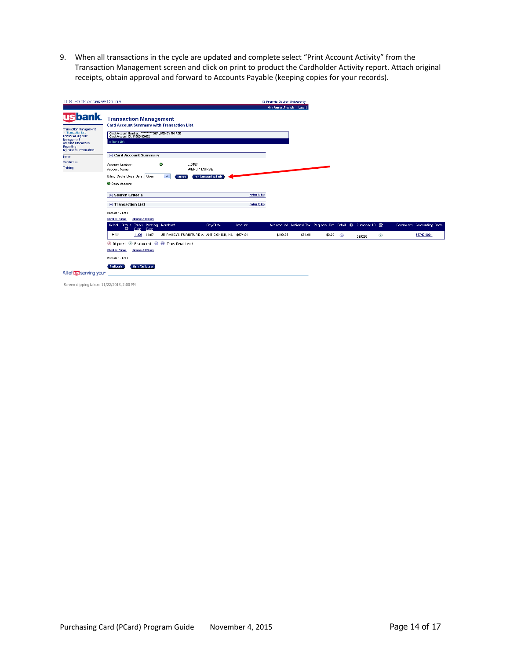9. When all transactions in the cycle are updated and complete select "Print Account Activity" from the Transaction Management screen and click on print to product the Cardholder Activity report. Attach original receipts, obtain approval and forward to Accounts Payable (keeping copies for your records).

| U.S. Bank Access® Online                                                                                                                                                                                               |                                                                                                                                                                                                                                                                                                                                                                       |                                                 | St Francis Xavier University |         |        |            |                                                  |                          |                          |
|------------------------------------------------------------------------------------------------------------------------------------------------------------------------------------------------------------------------|-----------------------------------------------------------------------------------------------------------------------------------------------------------------------------------------------------------------------------------------------------------------------------------------------------------------------------------------------------------------------|-------------------------------------------------|------------------------------|---------|--------|------------|--------------------------------------------------|--------------------------|--------------------------|
| <b>Usbank</b><br>Transaction Management<br>- Transaction List<br><b>Enhanced Supplier</b><br><b>Management</b><br><b>Account Information</b><br>Reporting<br>My Personal Information<br>Home<br>Contact Us<br>Training | <b>Transaction Management</b><br><b>Card Account Summary with Transaction List</b><br>Card Account ID: 513024000632<br><b>Ja Trani Llit</b><br>[-] Card Account Summary<br>$\bullet$<br>0197<br>Account Number:<br>WENDY MORSE<br>Account Name:<br>Billing Cycle Close Date: Open<br>$\checkmark$<br><b>Print Account Activity</b><br><b>Search</b><br>O Open Account |                                                 | Our Payment Products Logost  |         |        |            |                                                  |                          |                          |
|                                                                                                                                                                                                                        | [+] Search Criteria<br><b>I-I Transaction List</b><br>Records 1-1 of 1<br>Check All Shown   Uncheck All Shown<br>Select Status Trans Posting Merchant<br>City/State                                                                                                                                                                                                   | Return to top<br>Return to top<br><b>Amount</b> | Net Amount                   |         |        |            | National Tax Regional Tax Detail & Purchase ID & |                          | Comments Accounting Code |
|                                                                                                                                                                                                                        | $\bullet$<br><b>Date</b><br>Date<br>$\blacktriangleright$<br>11/06 11/07<br>JR RAHEYS FURNITURE A ANTIGONISH, NS \$574.94<br>1 Disputed <sup>(a)</sup> Reallocated <sup>(b)</sup> . <sup>(b)</sup> Trans Detail Level<br>Check All Shown   Uncheck All Shown                                                                                                          |                                                 | \$499.95                     | \$74.99 | \$0.00 | $^{\circ}$ | 020296                                           | $\widehat{\mathbb{A}^*}$ | 6574016004               |
| All of US serving you*                                                                                                                                                                                                 | Records 1-1 of 1<br><b>Mail Reallocate</b><br>Realiocate                                                                                                                                                                                                                                                                                                              |                                                 |                              |         |        |            |                                                  |                          |                          |

Screen clipping taken: 11/22/2013, 2:00 PM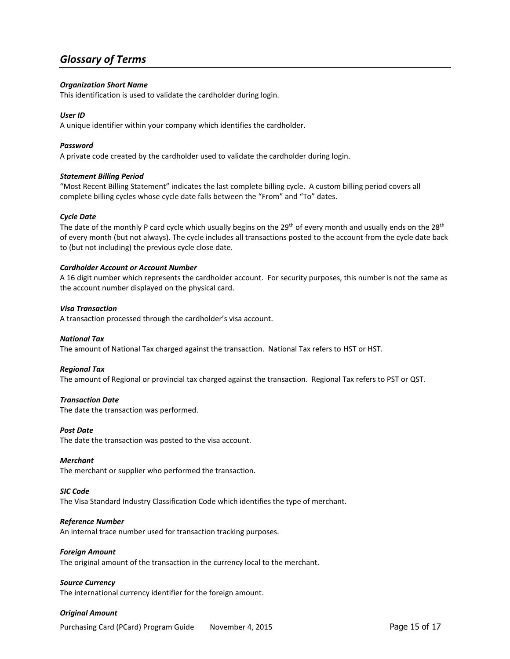## <span id="page-15-0"></span>*Glossary of Terms*

#### *Organization Short Name*

This identification is used to validate the cardholder during login.

#### *User ID*

A unique identifier within your company which identifies the cardholder.

#### *Password*

A private code created by the cardholder used to validate the cardholder during login.

#### *Statement Billing Period*

"Most Recent Billing Statement" indicates the last complete billing cycle. A custom billing period covers all complete billing cycles whose cycle date falls between the "From" and "To" dates.

#### *Cycle Date*

The date of the monthly P card cycle which usually begins on the  $29<sup>th</sup>$  of every month and usually ends on the  $28<sup>th</sup>$ of every month (but not always). The cycle includes all transactions posted to the account from the cycle date back to (but not including) the previous cycle close date.

#### *Cardholder Account or Account Number*

A 16 digit number which represents the cardholder account. For security purposes, this number is not the same as the account number displayed on the physical card.

#### *Visa Transaction*

A transaction processed through the cardholder's visa account.

#### *National Tax*

The amount of National Tax charged against the transaction. National Tax refers to HST or HST.

#### *Regional Tax*

The amount of Regional or provincial tax charged against the transaction. Regional Tax refers to PST or QST.

#### *Transaction Date*

The date the transaction was performed.

#### *Post Date*

The date the transaction was posted to the visa account.

#### *Merchant*

The merchant or supplier who performed the transaction.

#### *SIC Code*

The Visa Standard Industry Classification Code which identifies the type of merchant.

#### *Reference Number*

An internal trace number used for transaction tracking purposes.

#### *Foreign Amount*

The original amount of the transaction in the currency local to the merchant.

#### *Source Currency*

The international currency identifier for the foreign amount.

#### *Original Amount*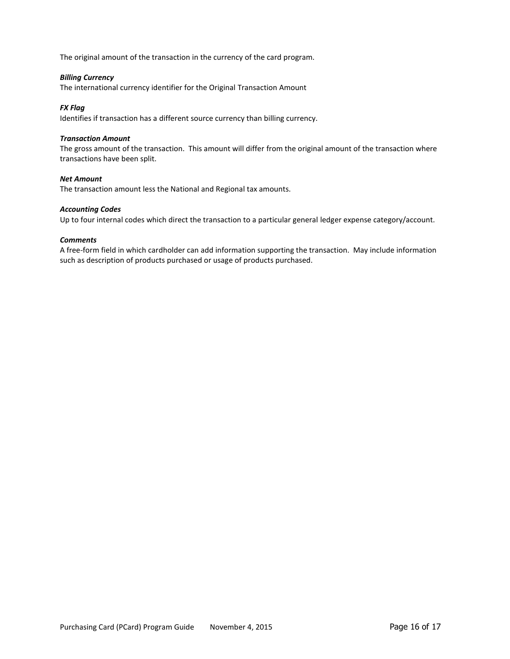The original amount of the transaction in the currency of the card program.

#### *Billing Currency*

The international currency identifier for the Original Transaction Amount

#### *FX Flag*

Identifies if transaction has a different source currency than billing currency.

#### *Transaction Amount*

The gross amount of the transaction. This amount will differ from the original amount of the transaction where transactions have been split.

#### *Net Amount*

The transaction amount less the National and Regional tax amounts.

#### *Accounting Codes*

Up to four internal codes which direct the transaction to a particular general ledger expense category/account.

#### *Comments*

A free-form field in which cardholder can add information supporting the transaction. May include information such as description of products purchased or usage of products purchased.